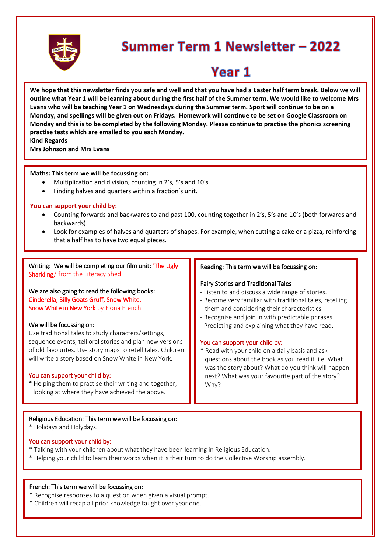

# Summer Term 1 Newsletter - 2022

# Year 1

**We hope that this newsletter finds you safe and well and that you have had a Easter half term break. Below we will outline what Year 1 will be learning about during the first half of the Summer term. We would like to welcome Mrs Evans who will be teaching Year 1 on Wednesdays during the Summer term. Sport will continue to be on a Monday, and spellings will be given out on Fridays. Homework will continue to be set on Google Classroom on Monday and this is to be completed by the following Monday. Please continue to practise the phonics screening practise tests which are emailed to you each Monday.**

**Kind Regards**

**Mrs Johnson and Mrs Evans**

#### **Maths: This term we will be focussing on:**

- Multiplication and division, counting in 2's, 5's and 10's.
- Finding halves and quarters within a fraction's unit.

#### **You can support your child by:**

- Counting forwards and backwards to and past 100, counting together in 2's, 5's and 10's (both forwards and backwards).
- Look for examples of halves and quarters of shapes. For example, when cutting a cake or a pizza, reinforcing that a half has to have two equal pieces.

Writing: We will be completing our film unit: 'The Ugly Sharkling,' from the Literacy Shed.

We are also going to read the following books: Cinderella, Billy Goats Gruff, Snow White. Snow White in New York by Fiona French.

#### We will be focussing on:

Use traditional tales to study characters/settings, sequence events, tell oral stories and plan new versions of old favourites. Use story maps to retell tales. Children will write a story based on Snow White in New York.

#### You can support your child by:

\* Helping them to practise their writing and together, looking at where they have achieved the above.

### Reading: This term we will be focussing on:

#### Fairy Stories and Traditional Tales

- Listen to and discuss a wide range of stories.
- Become very familiar with traditional tales, retelling them and considering their characteristics.
- Recognise and join in with predictable phrases.
- Predicting and explaining what they have read.

#### You can support your child by:

\* Read with your child on a daily basis and ask questions about the book as you read it. i.e. What was the story about? What do you think will happen next? What was your favourite part of the story? Why?

#### Religious Education: This term we will be focussing on:

\* Holidays and Holydays.

#### You can support your child by:

- \* Talking with your children about what they have been learning in Religious Education.
- \* Helping your child to learn their words when it is their turn to do the Collective Worship assembly.

#### French: This term we will be focussing on:

- \* Recognise responses to a question when given a visual prompt.
- \* Children will recap all prior knowledge taught over year one.